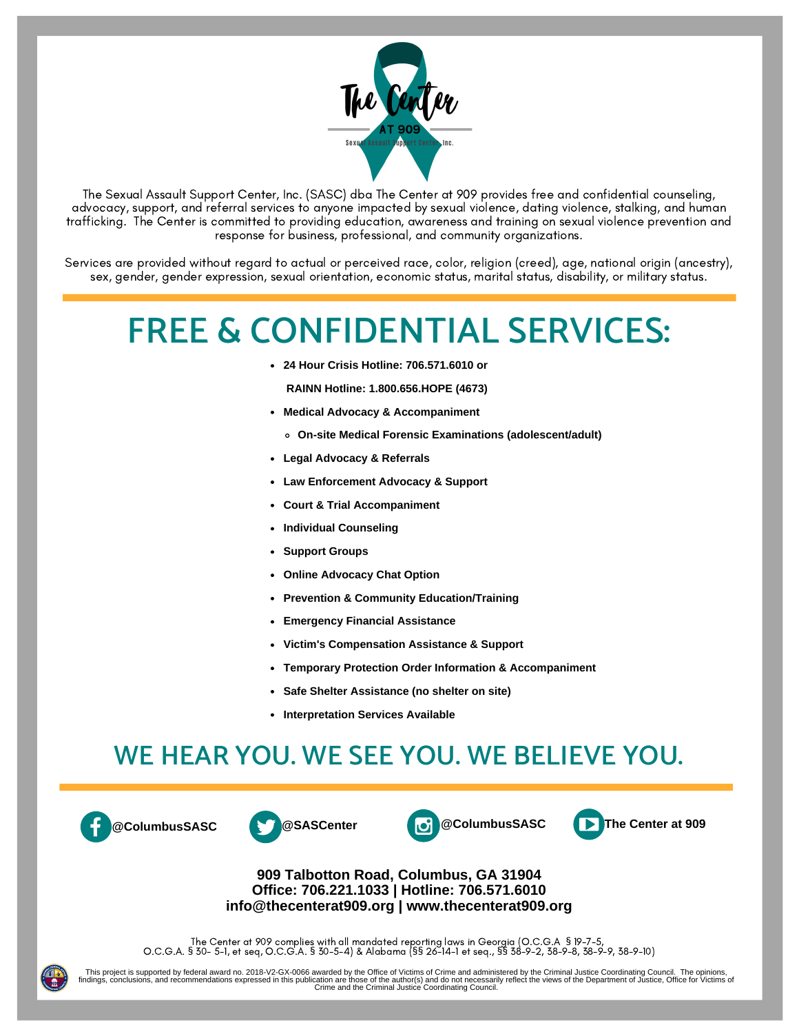

The Sexual Assault Support Center, Inc. (SASC) dba The Center at 909 provides free and confidential counseling, advocacy, support, and referral services to anyone impacted by sexual violence, dating violence, stalking, and human trafficking. The Center is committed to providing education, awareness and training on sexual violence prevention and response for business, professional, and community organizations.

Services are provided without regard to actual or perceived race, color, religion (creed), age, national origin (ancestry), sex, gender, gender expression, sexual orientation, economic status, marital status, disability, or military status.

# **FREE & CONFIDENTIAL SERVICES:**

**24 Hour Crisis Hotline: 706.571.6010 or**

**RAINN Hotline: 1.800.656.HOPE (4673)**

- **Medical Advocacy & Accompaniment**
	- **On-site Medical Forensic Examinations (adolescent/adult)**
- **Legal Advocacy & Referrals**
- **Law Enforcement Advocacy & Support**
- **Court & Trial Accompaniment**
- **Individual Counseling**
- **Support Groups**
- **Online Advocacy Chat Option**
- **Prevention & Community Education/Training**
- **Emergency Financial Assistance**
- **Victim's Compensation Assistance & Support**
- **Temporary Protection Order Information & Accompaniment**
- **Safe Shelter Assistance (no shelter on site)**
- **Interpretation Services Available**

# **WE HEAR YOU. WE SEE YOU. WE BELIEVE YOU.**









#### **909 Talbotton Road, Columbus, GA 31904 Office: 706.221.1033 | Hotline: 706.571.6010 info@thecenterat909.org | www.thecenterat909.org**

The Center at 909 complies with all mandated reporting laws in Georgia (O.C.G.A § 19-7-5, O.C.G.A. § 30- 5-1, et seq, O.C.G.A. § 30-5-4) & Alabama (§§ 26-14-1 et seq., §§ 38-9-2, 38-9-8, 38-9-9, 38-9-10)

This project is supported by federal award no. 2018-V2-GX-0066 awarded by the Office of Victims of Crime and administered by the Criminal Justice Coordinating Council. The opinions,<br>findings, conclusions, and recommendatio Crime and the Criminal Justice Coordinating Council.